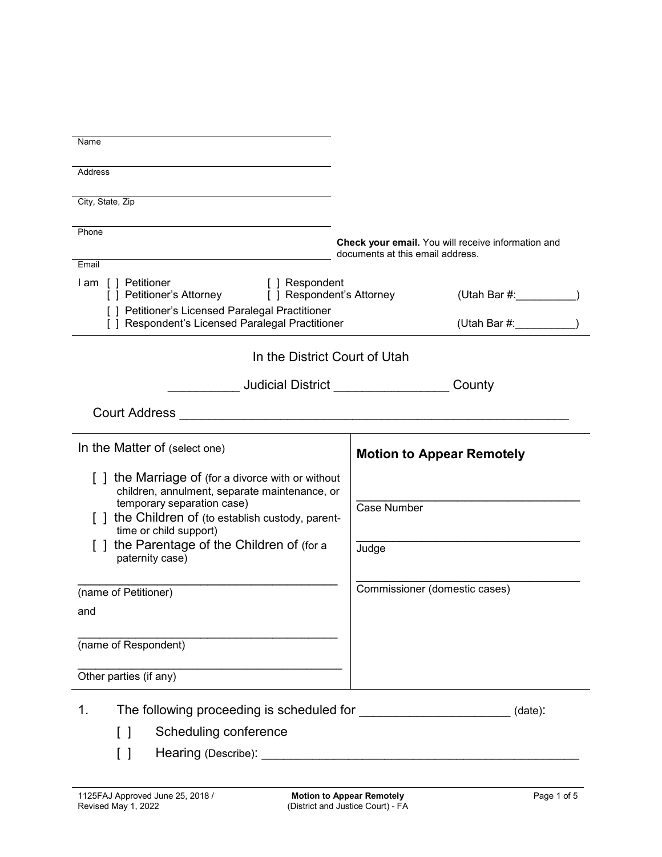| Name                                                                                                                                                                                                                                                                          |                                                                                        |
|-------------------------------------------------------------------------------------------------------------------------------------------------------------------------------------------------------------------------------------------------------------------------------|----------------------------------------------------------------------------------------|
| Address                                                                                                                                                                                                                                                                       |                                                                                        |
| City, State, Zip                                                                                                                                                                                                                                                              |                                                                                        |
|                                                                                                                                                                                                                                                                               |                                                                                        |
| Phone                                                                                                                                                                                                                                                                         | Check your email. You will receive information and<br>documents at this email address. |
| Email                                                                                                                                                                                                                                                                         |                                                                                        |
| I am [] Petitioner<br>[ ] Respondent<br>[ ] Petitioner's Attorney<br>[ ] Respondent's Attorney                                                                                                                                                                                |                                                                                        |
| [ ] Petitioner's Licensed Paralegal Practitioner<br>[ ] Respondent's Licensed Paralegal Practitioner                                                                                                                                                                          | (Utah Bar #: )                                                                         |
| In the District Court of Utah                                                                                                                                                                                                                                                 |                                                                                        |
| _ Judicial District ________________                                                                                                                                                                                                                                          | County                                                                                 |
| <b>Court Address</b>                                                                                                                                                                                                                                                          |                                                                                        |
| In the Matter of (select one)                                                                                                                                                                                                                                                 | <b>Motion to Appear Remotely</b>                                                       |
| [] the Marriage of (for a divorce with or without<br>children, annulment, separate maintenance, or<br>temporary separation case)<br>[] the Children of (to establish custody, parent-<br>time or child support)<br>the Parentage of the Children of (for a<br>paternity case) | Case Number<br>Judge                                                                   |
| (name of Petitioner)<br>and                                                                                                                                                                                                                                                   | Commissioner (domestic cases)                                                          |
| (name of Respondent)                                                                                                                                                                                                                                                          |                                                                                        |
| Other parties (if any)                                                                                                                                                                                                                                                        |                                                                                        |
| 1.                                                                                                                                                                                                                                                                            | (date):                                                                                |
| Scheduling conference<br>$\Box$                                                                                                                                                                                                                                               |                                                                                        |
| $\begin{smallmatrix} \end{smallmatrix}$                                                                                                                                                                                                                                       |                                                                                        |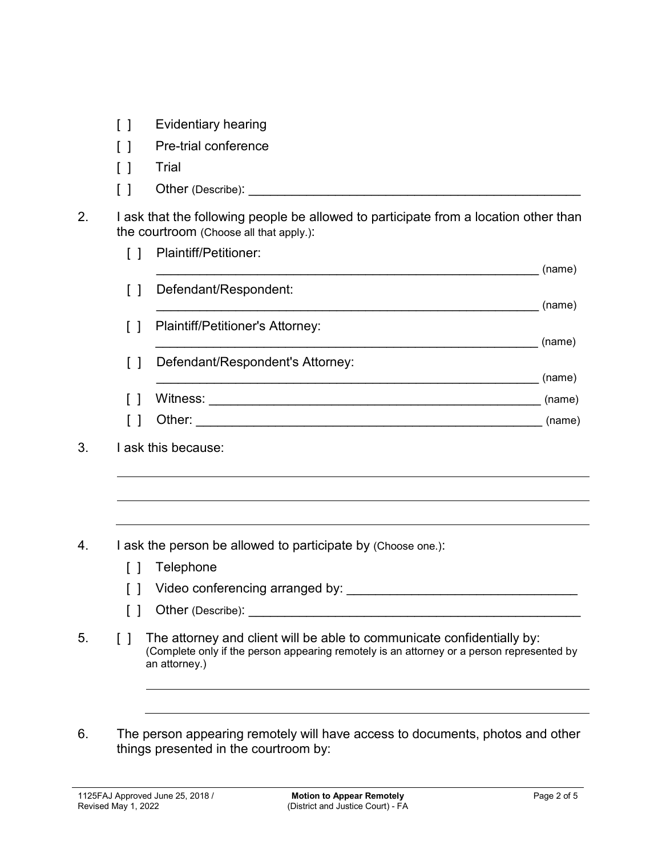- [ ] Evidentiary hearing
- [ ] Pre-trial conference
- [ ] Trial
- $\begin{bmatrix} \phantom{i} \end{bmatrix}$  Other (Describe):
- 2. I ask that the following people be allowed to participate from a location other than the courtroom (Choose all that apply.):

|        | Plaintiff/Petitioner:            | (name) |
|--------|----------------------------------|--------|
| $\Box$ | Defendant/Respondent:            |        |
|        |                                  | (name) |
| $\Box$ | Plaintiff/Petitioner's Attorney: |        |
|        |                                  | (name) |
| $\Box$ | Defendant/Respondent's Attorney: |        |
|        |                                  | (name) |
|        | Witness:                         | (name) |
|        | Other:                           | (name) |
|        |                                  |        |

- 4. I ask the person be allowed to participate by (Choose one.):
	- [ ] Telephone
	- [ ] Video conferencing arranged by: \_\_\_\_\_\_\_\_\_\_\_\_\_\_\_\_\_\_\_\_\_\_\_\_\_\_\_\_\_\_\_\_
	- $\begin{bmatrix} \phantom{a} \end{bmatrix}$  Other (Describe):
- 5. [ ] The attorney and client will be able to communicate confidentially by: (Complete only if the person appearing remotely is an attorney or a person represented by an attorney.)
- 6. The person appearing remotely will have access to documents, photos and other things presented in the courtroom by:

<sup>3.</sup> I ask this because: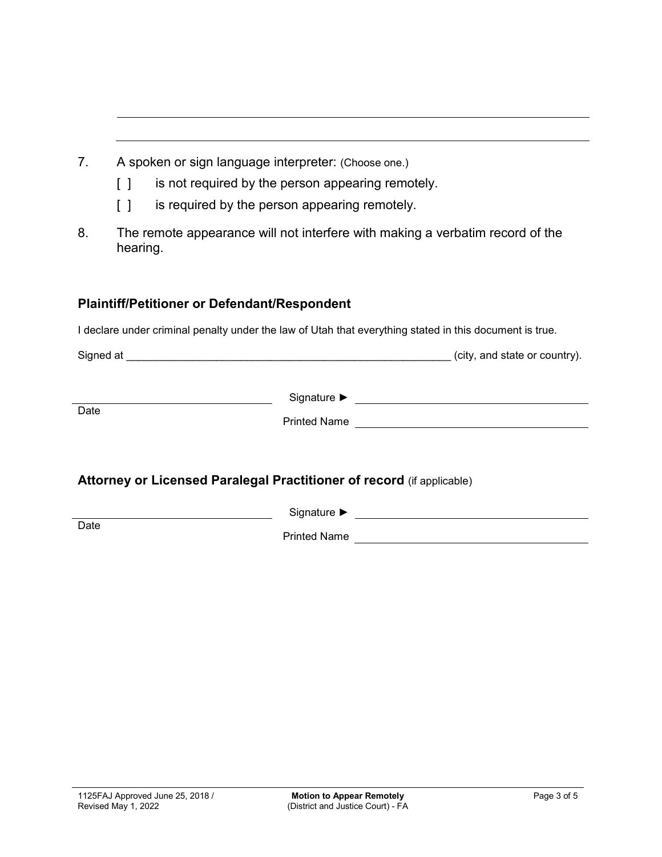- 7. A spoken or sign language interpreter: (Choose one.)
	- [ ] is not required by the person appearing remotely.
	- [ ] is required by the person appearing remotely.
- 8. The remote appearance will not interfere with making a verbatim record of the hearing.

## **Plaintiff/Petitioner or Defendant/Respondent**

I declare under criminal penalty under the law of Utah that everything stated in this document is true.

| Signed at |  | (city, and state or country). |  |
|-----------|--|-------------------------------|--|
|           |  |                               |  |

Signature ► Production Designature → Production Designation Designation Designation Designation Designation Designation Designation Designation Designation Designation Designation Designation Designation Designation Desig **Date** Printed Name

## **Attorney or Licensed Paralegal Practitioner of record** (if applicable)

Signature ► **Date** 

Printed Name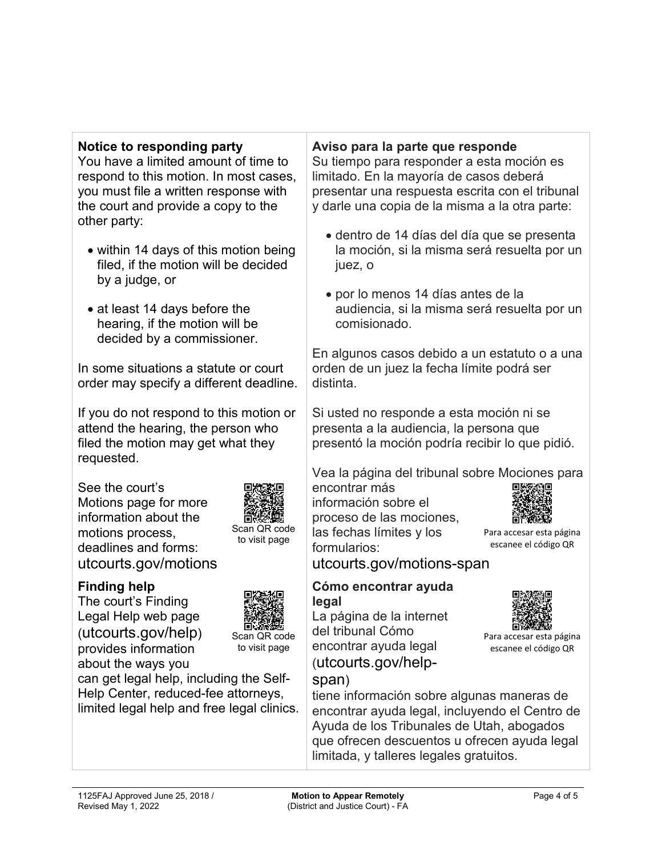## **Notice to responding party**

You have a limited amount of time to respond to this motion. In most cases, you must file a written response with the court and provide a copy to the other party:

- within 14 days of this motion being filed, if the motion will be decided by a judge, or
- at least 14 days before the hearing, if the motion will be decided by a commissioner.

In some situations a statute or court order may specify a different deadline.

If you do not respond to this motion or attend the hearing, the person who filed the motion may get what they requested.

See the court's Motions page for more information about the motions process, deadlines and forms: utcourts.gov/motions



Scan QR code to visit page

# **Finding help**

The court's Finding Legal Help web page (utcourts.gov/help) provides information about the ways you



Scan QR code to visit page

can get legal help, including the Self-Help Center, reduced-fee attorneys, limited legal help and free legal clinics.

### **Aviso para la parte que responde**

Su tiempo para responder a esta moción es limitado. En la mayoría de casos deberá presentar una respuesta escrita con el tribunal y darle una copia de la misma a la otra parte:

- dentro de 14 días del día que se presenta la moción, si la misma será resuelta por un juez, o
- por lo menos 14 días antes de la audiencia, si la misma será resuelta por un comisionado.

En algunos casos debido a un estatuto o a una orden de un juez la fecha límite podrá ser distinta.

Si usted no responde a esta moción ni se presenta a la audiencia, la persona que presentó la moción podría recibir lo que pidió.

Vea la página del tribunal sobre Mociones para

encontrar más información sobre el proceso de las mociones, las fechas límites y los formularios:



Para accesar esta página escanee el código QR

Para accesar esta página escanee el código QR

utcourts.gov/motions-span

#### **Cómo encontrar ayuda legal**

La página de la internet del tribunal Cómo encontrar ayuda legal (utcourts.gov/help-

# span)

tiene información sobre algunas maneras de encontrar ayuda legal, incluyendo el Centro de Ayuda de los Tribunales de Utah, abogados que ofrecen descuentos u ofrecen ayuda legal limitada, y talleres legales gratuitos.